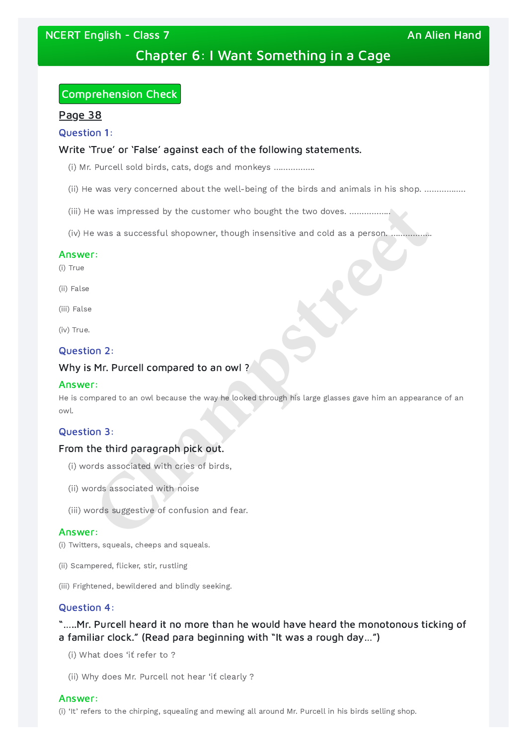NCERT English - Class 7 An Alien Hand An Alien Hand

# Chapter 6: I Want Something in a Cage

# Comprehension Check

## Page 38

#### Question 1:

## Write 'True' or 'False' against each of the following statements.

- (i) Mr. Purcell sold birds, cats, dogs and monkeys ……………..
- (ii) He was very concerned about the well-being of the birds and animals in his shop. ……………..
- (iii) He was impressed by the customer who bought the two doves. ……………..
- (iv) He was a successful shopowner, though insensitive and cold as a person. ……………..

#### Answer:

- (i) True
- (ii) False
- (iii) False

(iv) True.

#### Question 2:

#### Why is Mr. Purcell compared to an owl ?

#### Answer:

#### Question 3:

#### From the third paragraph pick out.

- (i) words associated with cries of birds,
- (ii) words associated with noise
- (iii) words suggestive of confusion and fear.

#### Answer:

(i) Twitters, squeals, cheeps and squeals.

(ii) Scampered, flicker, stir, rustling

He is compared to an owl because the way he looked through his large glasses gave him an appearance of an owl. **Champstreet**

(iii) Frightened, bewildered and blindly seeking.

## Question 4:

"…..Mr. Purcell heard it no more than he would have heard the monotonous ticking of a familiar clock." (Read para beginning with "It was a rough day…")

(i) What does 'iť refer to ?

(ii) Why does Mr. Purcell not hear 'iť clearly ?

#### Answer:

(i) 'It' refers to the chirping, squealing and mewing all around Mr. Purcell in his birds selling shop.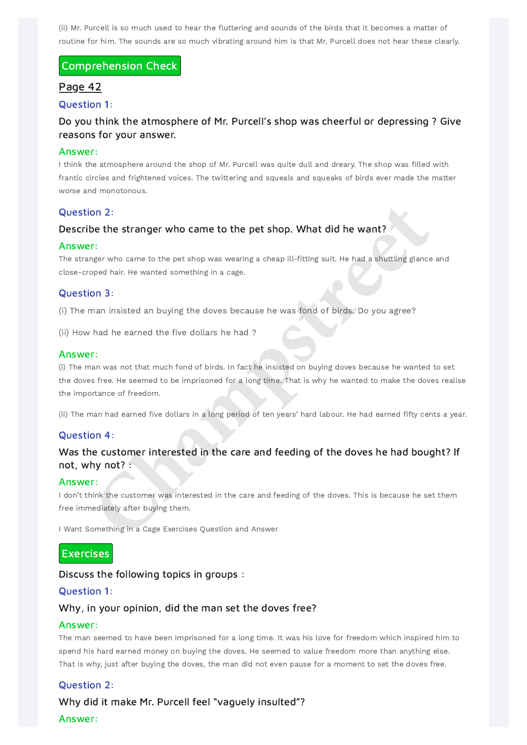(ii) Mr. Purcell is so much used to hear the fluttering and sounds of the birds that it becomes a matter of routine for him. The sounds are so much vibrating around him is that Mr. Purcell does not hear these clearly.

## Comprehension Check

## Page 42

Question 1:

## Do you think the atmosphere of Mr. Purcell's shop was cheerful or depressing ? Give reasons for your answer.

#### Answer:

I think the atmosphere around the shop of Mr. Purcell was quite dull and dreary. The shop was filled with frantic circles and frightened voices. The twittering and squeals and squeaks of birds ever made the matter worse and monotonous.

(i) The man was not that much fond of birds. In fact he insisted on buying doves because he wanted to set the doves free. He seemed to be imprisoned for a long time. That is why he wanted to make the doves realise the importance of freedom. **Champs and Solution Comment Solution** Comment Comment Comment Comment Comment Comment Comment Ample Maximum Special Maximum Special Maximum Special Maximum Special Maximum Special Maximum Special Maximum Special Maximum S

## Question 2:

## Describe the stranger who came to the pet shop. What did he want?

## Was the customer interested in the care and feeding of the doves he had bought? If not, why not?

#### Answer:

The stranger who came to the pet shop was wearing a cheap ill-fitting suit. He had a shuttling glance and close-croped hair. He wanted something in a cage.

I don't think the customer was interested in the care and feeding of the doves. This is because he set them free immediately after buying them.

## Question 3:

(i) The man insisted an buying the doves because he was fond of birds. Do you agree?

(ii) How had he earned the five dollars he had ?

#### Answer:

(ii) The man had earned five dollars in a long period of ten years' hard labour. He had earned fifty cents a year.

## Question 4:

#### Answer:

I Want Something in a Cage Exercises Question and Answer



## Discuss the following topics in groups :

#### Question 1:

## Why, in your opinion, did the man set the doves free?

#### Answer:

The man seemed to have been imprisoned for a long time. It was his love for freedom which inspired him to spend his hard earned money on buying the doves. He seemed to value freedom more than anything else. That is why, just after buying the doves, the man did not even pause for a moment to set the doves free.

#### Question 2:

Why did it make Mr. Purcell feel "vaguely insulted"?

#### Answer: